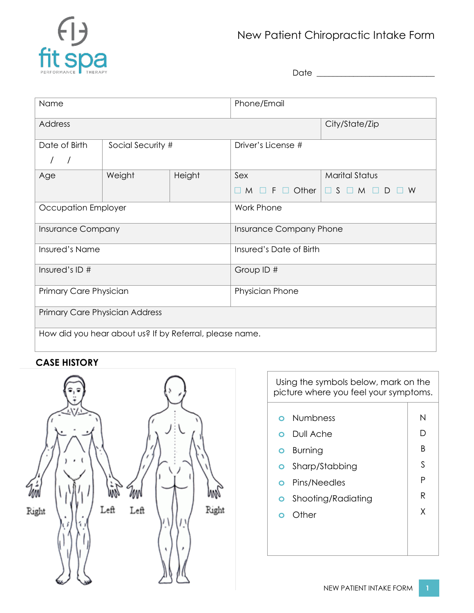

# New Patient Chiropractic Intake Form

Date \_\_\_\_\_\_\_\_\_\_\_\_\_\_\_\_\_\_\_\_\_\_\_\_\_\_\_\_\_

| Name                                                    |                   |        | Phone/Email             |                       |  |  |
|---------------------------------------------------------|-------------------|--------|-------------------------|-----------------------|--|--|
| Address                                                 |                   |        |                         | City/State/Zip        |  |  |
| Date of Birth                                           | Social Security # |        | Driver's License #      |                       |  |  |
| Age                                                     | Weight            | Height | Sex                     | <b>Marital Status</b> |  |  |
|                                                         |                   |        | $\Box$ Other<br>F<br>M  | $\Box$ S<br>M<br>W    |  |  |
| Occupation Employer                                     |                   |        | <b>Work Phone</b>       |                       |  |  |
| Insurance Company                                       |                   |        | Insurance Company Phone |                       |  |  |
| Insured's Name                                          |                   |        | Insured's Date of Birth |                       |  |  |
| Insured's ID #                                          |                   |        | Group ID #              |                       |  |  |
| Primary Care Physician                                  |                   |        | Physician Phone         |                       |  |  |
| Primary Care Physician Address                          |                   |        |                         |                       |  |  |
| How did you hear about us? If by Referral, please name. |                   |        |                         |                       |  |  |

## **CASE HISTORY**



| Using the symbols below, mark on the<br>picture where you feel your symptoms. |     |  |  |  |  |
|-------------------------------------------------------------------------------|-----|--|--|--|--|
|                                                                               |     |  |  |  |  |
| <b>Numbness</b><br>$\Omega$                                                   | N   |  |  |  |  |
| Dull Ache<br>റ                                                                | ו ו |  |  |  |  |
| <b>Burning</b><br>O                                                           | B   |  |  |  |  |
| Sharp/Stabbing<br>O                                                           | S   |  |  |  |  |
| Pins/Needles<br>O                                                             | Ρ   |  |  |  |  |
| Shooting/Radiating<br>O                                                       | R   |  |  |  |  |
| Other                                                                         | X   |  |  |  |  |
|                                                                               |     |  |  |  |  |
|                                                                               |     |  |  |  |  |
|                                                                               |     |  |  |  |  |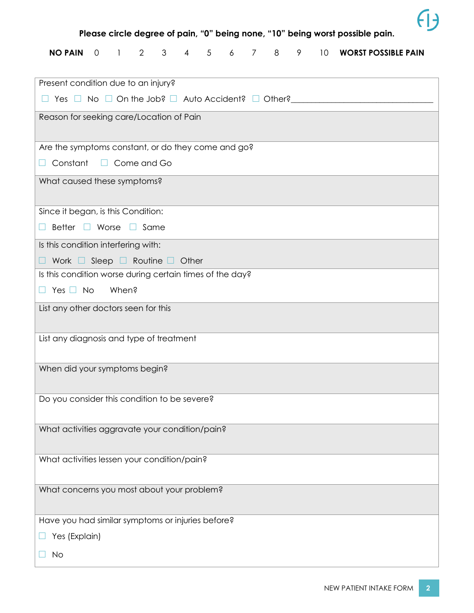

**Please circle degree of pain, "0" being none, "10" being worst possible pain.**

|  |  |  |  |  |  |  |  |  |  |  |  | NO PAIN  0   1   2   3   4   5   6   7   8   9   10   WORST POSSIBLE PAIN |
|--|--|--|--|--|--|--|--|--|--|--|--|---------------------------------------------------------------------------|
|--|--|--|--|--|--|--|--|--|--|--|--|---------------------------------------------------------------------------|

| Present condition due to an injury?                      |  |  |  |  |  |  |
|----------------------------------------------------------|--|--|--|--|--|--|
|                                                          |  |  |  |  |  |  |
| Reason for seeking care/Location of Pain                 |  |  |  |  |  |  |
|                                                          |  |  |  |  |  |  |
| Are the symptoms constant, or do they come and go?       |  |  |  |  |  |  |
| Constant $\Box$ Come and Go<br>H                         |  |  |  |  |  |  |
| What caused these symptoms?                              |  |  |  |  |  |  |
|                                                          |  |  |  |  |  |  |
| Since it began, is this Condition:                       |  |  |  |  |  |  |
| Better <b>D</b> Worse <b>D</b> Same<br>H                 |  |  |  |  |  |  |
| Is this condition interfering with:                      |  |  |  |  |  |  |
| $\Box$ Work $\Box$ Sleep $\Box$ Routine $\Box$ Other     |  |  |  |  |  |  |
| Is this condition worse during certain times of the day? |  |  |  |  |  |  |
| $\Box$ Yes $\Box$ No<br>When?                            |  |  |  |  |  |  |
| List any other doctors seen for this                     |  |  |  |  |  |  |
|                                                          |  |  |  |  |  |  |
| List any diagnosis and type of treatment                 |  |  |  |  |  |  |
|                                                          |  |  |  |  |  |  |
| When did your symptoms begin?                            |  |  |  |  |  |  |
|                                                          |  |  |  |  |  |  |
| Do you consider this condition to be severe?             |  |  |  |  |  |  |
|                                                          |  |  |  |  |  |  |
| What activities aggravate your condition/pain?           |  |  |  |  |  |  |
| What activities lessen your condition/pain?              |  |  |  |  |  |  |
|                                                          |  |  |  |  |  |  |
| What concerns you most about your problem?               |  |  |  |  |  |  |
|                                                          |  |  |  |  |  |  |
| Have you had similar symptoms or injuries before?        |  |  |  |  |  |  |
| Yes (Explain)                                            |  |  |  |  |  |  |
| No                                                       |  |  |  |  |  |  |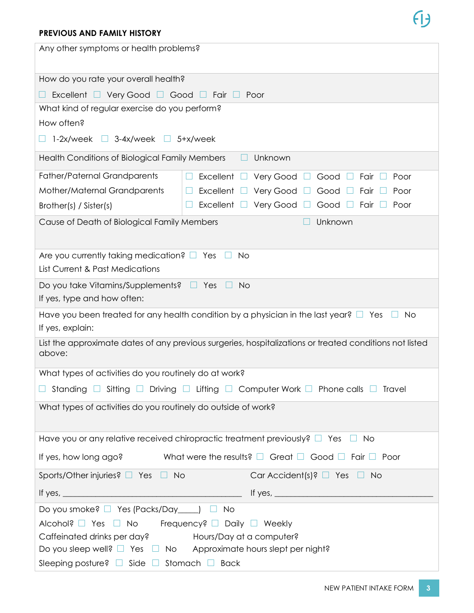#### **PREVIOUS AND FAMILY HISTORY**

| Any other symptoms or health problems?                                                                               |  |  |  |  |  |  |
|----------------------------------------------------------------------------------------------------------------------|--|--|--|--|--|--|
| How do you rate your overall health?                                                                                 |  |  |  |  |  |  |
| Excellent $\Box$ Very Good $\Box$ Good $\Box$ Fair $\Box$<br>Poor                                                    |  |  |  |  |  |  |
| What kind of regular exercise do you perform?                                                                        |  |  |  |  |  |  |
| How often?                                                                                                           |  |  |  |  |  |  |
| $1-2x$ /week<br>$3-4x$ /week $\Box$ 5+x/week<br>$\Box$                                                               |  |  |  |  |  |  |
| Health Conditions of Biological Family Members<br>Unknown                                                            |  |  |  |  |  |  |
| <b>Father/Paternal Grandparents</b><br>Excellent $\square$<br>Very Good<br>Good<br>Fair<br>Poor<br>$\Box$            |  |  |  |  |  |  |
| Mother/Maternal Grandparents<br>Excellent $\square$<br>Very Good<br>Good<br>Fair<br>Poor                             |  |  |  |  |  |  |
| Excellent<br>Very Good<br>Good<br>Fair<br>Poor<br>Brother(s) / Sister(s)                                             |  |  |  |  |  |  |
| Unknown<br>Cause of Death of Biological Family Members                                                               |  |  |  |  |  |  |
| Are you currently taking medication? $\Box$ Yes<br><b>No</b><br>List Current & Past Medications                      |  |  |  |  |  |  |
| Do you take Vitamins/Supplements? $\Box$ Yes<br><b>No</b><br>If yes, type and how often:                             |  |  |  |  |  |  |
| Have you been treated for any health condition by a physician in the last year? $\Box$ Yes<br>No<br>If yes, explain: |  |  |  |  |  |  |
| List the approximate dates of any previous surgeries, hospitalizations or treated conditions not listed<br>above:    |  |  |  |  |  |  |
| What types of activities do you routinely do at work?                                                                |  |  |  |  |  |  |
| Standing $\Box$ Sitting $\Box$ Driving $\Box$ Lifting $\Box$ Computer Work $\Box$ Phone calls $\Box$ Travel          |  |  |  |  |  |  |
| What types of activities do you routinely do outside of work?                                                        |  |  |  |  |  |  |
| Have you or any relative received chiropractic treatment previously? $\Box$ Yes<br><b>No</b>                         |  |  |  |  |  |  |
| If yes, how long ago?<br>What were the results? $\Box$ Great $\Box$ Good $\Box$ Fair $\Box$ Poor                     |  |  |  |  |  |  |
| Sports/Other injuries? $\Box$ Yes $\Box$ No<br>Car Accident(s)? $\Box$ Yes $\Box$ No                                 |  |  |  |  |  |  |
|                                                                                                                      |  |  |  |  |  |  |
| Do you smoke? □ Yes (Packs/Day____) □<br><b>No</b>                                                                   |  |  |  |  |  |  |
| Alcohol? □ Yes □ No<br>Frequency? □ Daily □ Weekly                                                                   |  |  |  |  |  |  |
| Caffeinated drinks per day?<br>Hours/Day at a computer?                                                              |  |  |  |  |  |  |
| Do you sleep well? $\Box$ Yes $\Box$ No Approximate hours slept per night?                                           |  |  |  |  |  |  |
| Sleeping posture? $\Box$ Side $\Box$ Stomach $\Box$ Back                                                             |  |  |  |  |  |  |

 $\theta$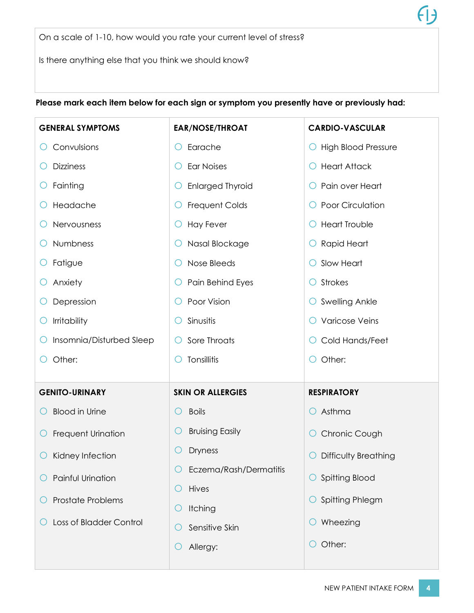On a scale of 1-10, how would you rate your current level of stress?

Is there anything else that you think we should know?

**GENERAL SYMPTOMS** o Convulsions o Dizziness  $\circ$  Fainting o Headache o Nervousness o Numbness o Fatigue o Anxiety o Depression  $\circ$  Irritability o Insomnia/Disturbed Sleep o Other: **EAR/NOSE/THROAT** o Earache o Ear Noises o Enlarged Thyroid o Frequent Colds o Hay Fever o Nasal Blockage o Nose Bleeds o Pain Behind Eyes O Poor Vision  $\bigcirc$  Sinusitis o Sore Throats  $\bigcirc$  Tonsillitis **CARDIO-VASCULAR**  o High Blood Pressure o Heart Attack o Pain over Heart O Poor Circulation o Heart Trouble o Rapid Heart o Slow Heart o Strokes O Swelling Ankle o Varicose Veins o Cold Hands/Feet o Other: **GENITO-URINARY**   $\bigcap$  Blood in Urine o Frequent Urination  $\bigcirc$  Kidney Infection o Painful Urination o Prostate Problems o Loss of Bladder Control **SKIN OR ALLERGIES**  o Boils O Bruising Easily o Dryness o Eczema/Rash/Dermatitis o Hives  $\bigcirc$  Itching  $\circ$  Sensitive Skin o Allergy: **RESPIRATORY**   $O$  Asthma O Chronic Cough o Difficulty Breathing o Spitting Blood o Spitting Phlegm  $\circ$  Wheezing o Other:

#### **Please mark each item below for each sign or symptom you presently have or previously had:**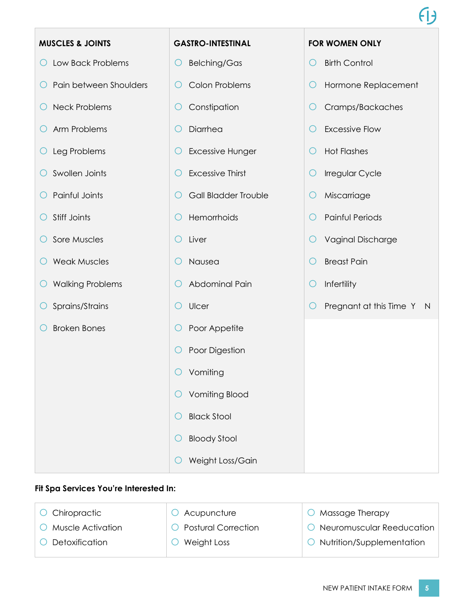| <b>MUSCLES &amp; JOINTS</b>  | <b>GASTRO-INTESTINAL</b>         | <b>FOR WOMEN ONLY</b>                          |
|------------------------------|----------------------------------|------------------------------------------------|
| Low Back Problems<br>Ő       | <b>Belching/Gas</b><br>Ő         | <b>Birth Control</b><br>O                      |
| Pain between Shoulders       | <b>Colon Problems</b><br>O       | Hormone Replacement<br>Ő                       |
| <b>Neck Problems</b>         | Constipation<br>O                | Cramps/Backaches<br>O                          |
| Arm Problems<br>O            | Diarrhea<br>C                    | <b>Excessive Flow</b><br>O                     |
| Leg Problems<br>$\cup$       | <b>Excessive Hunger</b><br>O     | <b>Hot Flashes</b><br>Ő                        |
| Swollen Joints<br>O          | <b>Excessive Thirst</b><br>O     | Irregular Cycle<br>O                           |
| Painful Joints               | <b>Gall Bladder Trouble</b><br>O | Miscarriage<br>Ő                               |
| Stiff Joints                 | Hemorrhoids<br>C                 | Painful Periods<br>C                           |
| Sore Muscles                 | Liver<br>O                       | <b>Vaginal Discharge</b><br>O                  |
| <b>Weak Muscles</b>          | Nausea<br>O                      | <b>Breast Pain</b><br>O                        |
| <b>Walking Problems</b><br>Ő | Abdominal Pain<br>U              | Infertility<br>Ő                               |
| Sprains/Strains              | Ulcer<br>Ő                       | Pregnant at this Time Y<br>O<br>$\blacksquare$ |
| <b>Broken Bones</b>          | Poor Appetite<br>O               |                                                |
|                              | Poor Digestion<br>O              |                                                |
|                              | Vomiting                         |                                                |
|                              | <b>Vomiting Blood</b>            |                                                |
|                              | <b>Black Stool</b>               |                                                |
|                              | <b>Bloody Stool</b>              |                                                |
|                              | Weight Loss/Gain                 |                                                |

### **Fit Spa Services You're Interested In:**

| O Chiropractic            | $O$ Acupuncture       | Massage Therapy<br>$\left( \right)$ |
|---------------------------|-----------------------|-------------------------------------|
| $\circ$ Muscle Activation | O Postural Correction | O Neuromuscular Reeducation         |
| $\circ$ Detoxification    | Weight Loss           | O Nutrition/Supplementation         |